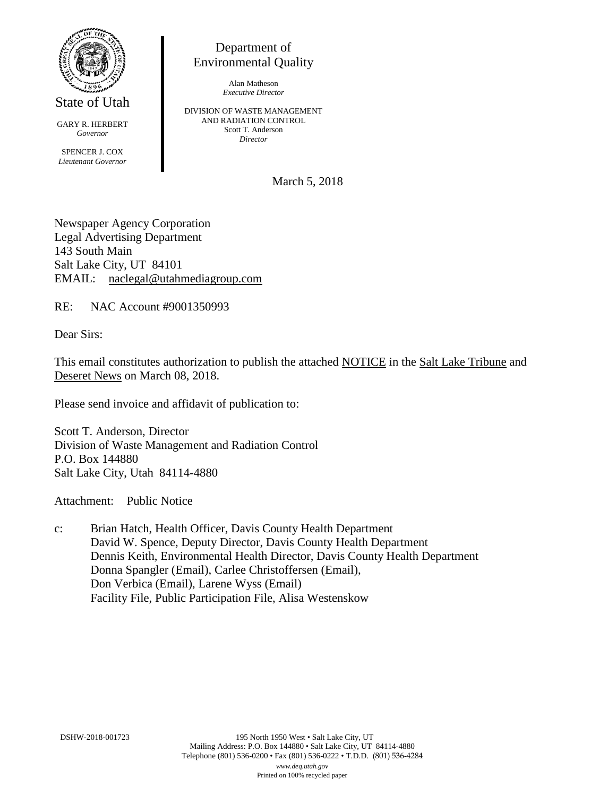

State of Utah

GARY R. HERBERT *Governor* SPENCER J. COX *Lieutenant Governor*

Department of Environmental Quality

> Alan Matheson *Executive Director*

DIVISION OF WASTE MANAGEMENT AND RADIATION CONTROL Scott T. Anderson *Director*

March 5, 2018

Newspaper Agency Corporation Legal Advertising Department 143 South Main Salt Lake City, UT 84101 EMAIL: naclegal@utahmediagroup.com

RE: NAC Account #9001350993

Dear Sirs:

This email constitutes authorization to publish the attached NOTICE in the Salt Lake Tribune and Deseret News on March 08, 2018.

Please send invoice and affidavit of publication to:

Scott T. Anderson, Director Division of Waste Management and Radiation Control P.O. Box 144880 Salt Lake City, Utah 84114-4880

Attachment: Public Notice

c: Brian Hatch, Health Officer, Davis County Health Department David W. Spence, Deputy Director, Davis County Health Department Dennis Keith, Environmental Health Director, Davis County Health Department Donna Spangler (Email), Carlee Christoffersen (Email), Don Verbica (Email), Larene Wyss (Email) Facility File, Public Participation File, Alisa Westenskow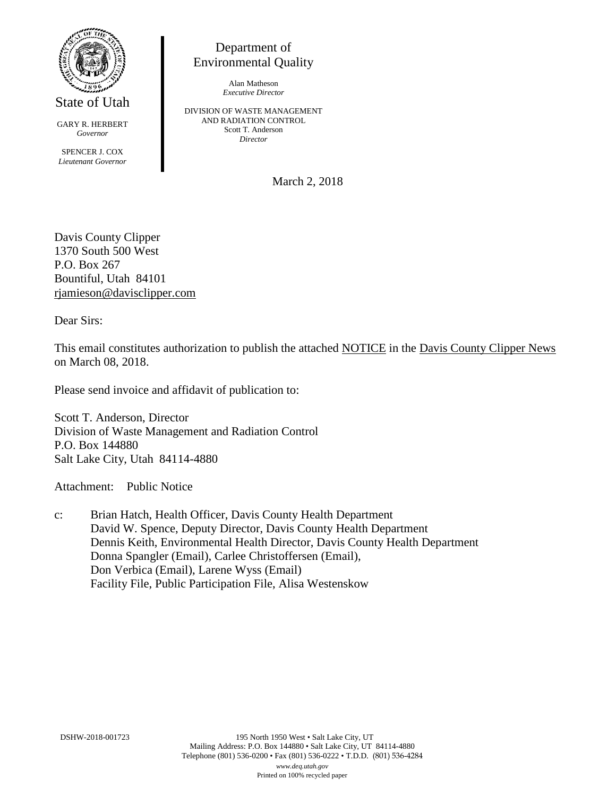

State of Utah

GARY R. HERBERT *Governor* SPENCER J. COX *Lieutenant Governor*

Department of Environmental Quality

> Alan Matheson *Executive Director*

DIVISION OF WASTE MANAGEMENT AND RADIATION CONTROL Scott T. Anderson *Director*

March 2, 2018

Davis County Clipper 1370 South 500 West P.O. Box 267 Bountiful, Utah 84101 [rjamieson@davisclipper.com](mailto:rjamieson@davisclipper.com)

Dear Sirs:

This email constitutes authorization to publish the attached NOTICE in the Davis County Clipper News on March 08, 2018.

Please send invoice and affidavit of publication to:

Scott T. Anderson, Director Division of Waste Management and Radiation Control P.O. Box 144880 Salt Lake City, Utah 84114-4880

Attachment: Public Notice

c: Brian Hatch, Health Officer, Davis County Health Department David W. Spence, Deputy Director, Davis County Health Department Dennis Keith, Environmental Health Director, Davis County Health Department Donna Spangler (Email), Carlee Christoffersen (Email), Don Verbica (Email), Larene Wyss (Email) Facility File, Public Participation File, Alisa Westenskow